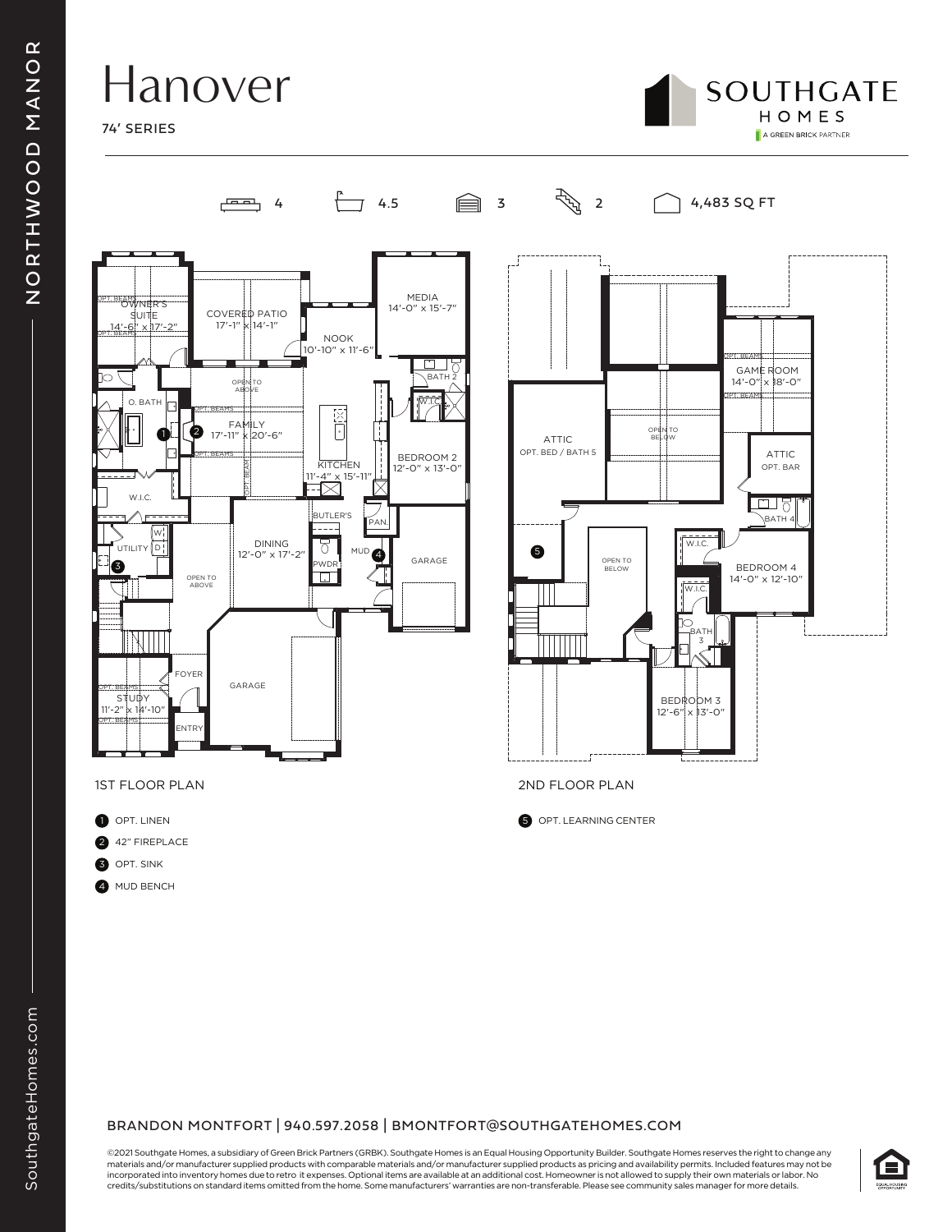## Hanover

74' SERIES



GAME ROOM<br>"14'-0" x 18'-0"  $x 18' - 0$ "

OPT. BEAMS

OPT. BEAMS

BEDROOM 4 14'-0" x 12'-10"

BATH 4

<u>.ना २</u>

ATTIC OPT. BAR



4  $\frac{1}{2}$  4.5  $\frac{1}{2}$  3  $\frac{1}{2}$   $\frac{1}{2}$  4,483 SQ FT

ATTIC OPT. BED / BATH 5

12'-6" x 13'-0"

W.I.C.

BATH 3

W.I.C.

OPEN TO BELOW

OPEN TO BELOW

OPT. LEARNING CENTER



1ST FLOOR PLAN 2ND FLOOR PLAN

- $\blacksquare$  OPT. LINEN
- 0 42" FIREPLACE
- 6 OPT. SINK
- 4 MUD BENCH



©2021 Southgate Homes, a subsidiary of Green Brick Partners (GRBK). Southgate Homes is an Equal Housing Opportunity Builder. Southgate Homes reserves the right to change any materials and/or manufacturer supplied products with comparable materials and/or manufacturer supplied products as pricing and availability permits. Included features may not be incorporated into inventory homes due to retro it expenses. Optional items are available at an additional cost. Homeowner is not allowed to supply their own materials or labor. No credits/substitutions on standard items omitted from the home. Some manufacturers' warranties are non-transferable. Please see community sales manager for more details.